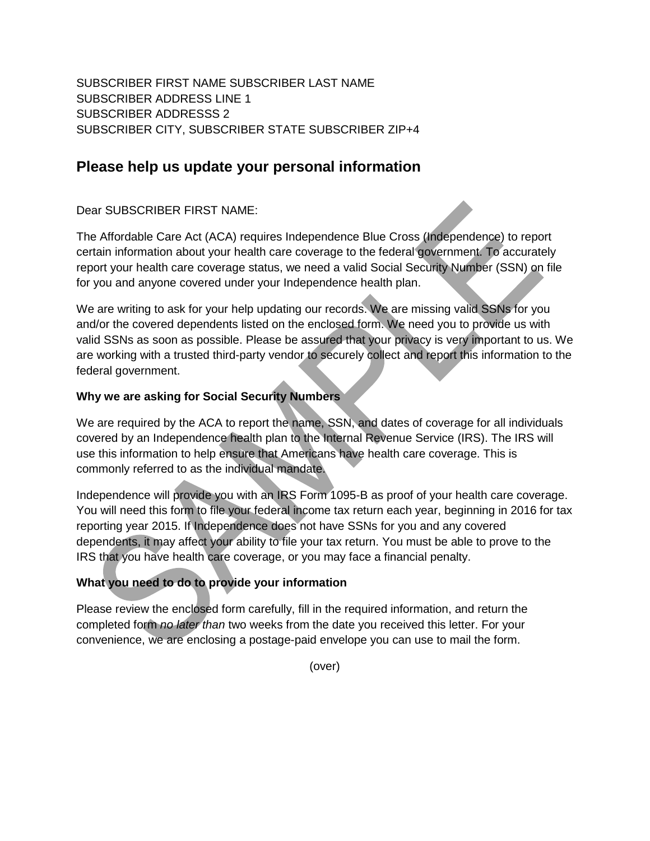SUBSCRIBER FIRST NAME SUBSCRIBER LAST NAME SUBSCRIBER ADDRESS LINE 1 SUBSCRIBER ADDRESSS 2 SUBSCRIBER CITY, SUBSCRIBER STATE SUBSCRIBER ZIP+4

## **Please help us update your personal information**

Dear SUBSCRIBER FIRST NAME:

The Affordable Care Act (ACA) requires Independence Blue Cross (Independence) to report certain information about your health care coverage to the federal government. To accurately report your health care coverage status, we need a valid Social Security Number (SSN) on file for you and anyone covered under your Independence health plan.

We are writing to ask for your help updating our records. We are missing valid SSNs for you and/or the covered dependents listed on the enclosed form. We need you to provide us with valid SSNs as soon as possible. Please be assured that your privacy is very important to us. We are working with a trusted third-party vendor to securely collect and report this information to the federal government.

## **Why we are asking for Social Security Numbers**

We are required by the ACA to report the name, SSN, and dates of coverage for all individuals covered by an Independence health plan to the Internal Revenue Service (IRS). The IRS will use this information to help ensure that Americans have health care coverage. This is commonly referred to as the individual mandate.

Independence will provide you with an IRS Form 1095-B as proof of your health care coverage. You will need this form to file your federal income tax return each year, beginning in 2016 for tax reporting year 2015. If Independence does not have SSNs for you and any covered dependents, it may affect your ability to file your tax return. You must be able to prove to the IRS that you have health care coverage, or you may face a financial penalty.

## **What you need to do to provide your information**

Please review the enclosed form carefully, fill in the required information, and return the completed form *no later than* two weeks from the date you received this letter. For your convenience, we are enclosing a postage-paid envelope you can use to mail the form.

(over)